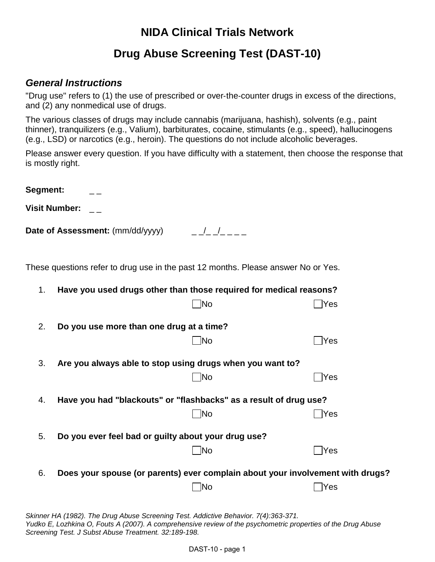# **NIDA Clinical Trials Network**

# **Drug Abuse Screening Test (DAST-10)**

## *General Instructions*

"Drug use" refers to (1) the use of prescribed or over‐the‐counter drugs in excess of the directions, and (2) any nonmedical use of drugs.

The various classes of drugs may include cannabis (marijuana, hashish), solvents (e.g., paint thinner), tranquilizers (e.g., Valium), barbiturates, cocaine, stimulants (e.g., speed), hallucinogens (e.g., LSD) or narcotics (e.g., heroin). The questions do not include alcoholic beverages.

Please answer every question. If you have difficulty with a statement, then choose the response that is mostly right.

| Segment:       |                                                                                   |                         |               |  |
|----------------|-----------------------------------------------------------------------------------|-------------------------|---------------|--|
|                | <b>Visit Number:</b>                                                              |                         |               |  |
|                | Date of Assessment: $(mm/dd/yyyy)$ __ _/_ _/_ __                                  |                         |               |  |
|                | These questions refer to drug use in the past 12 months. Please answer No or Yes. |                         |               |  |
| 1 <sub>1</sub> | Have you used drugs other than those required for medical reasons?                |                         |               |  |
|                |                                                                                   | $\sqrt{\phantom{a}}$ No | $\exists$ Yes |  |
| 2.             | Do you use more than one drug at a time?                                          |                         |               |  |
|                |                                                                                   | ้∣No                    | $\forall$ es  |  |
| 3.             | Are you always able to stop using drugs when you want to?                         |                         |               |  |
|                |                                                                                   | ้∣No                    | ∏Yes          |  |
| 4.             | Have you had "blackouts" or "flashbacks" as a result of drug use?                 |                         |               |  |
|                |                                                                                   | ้∣No                    | $\forall$ es  |  |
| 5.             | Do you ever feel bad or guilty about your drug use?                               |                         |               |  |
|                |                                                                                   | ∏No                     | Yes           |  |
| 6.             | Does your spouse (or parents) ever complain about your involvement with drugs?    |                         |               |  |
|                |                                                                                   | No                      | Yes           |  |
|                |                                                                                   |                         |               |  |

*Skinner HA (1982). The Drug Abuse Screening Test. Addictive Behavior. 7(4):363-371. Yudko E, Lozhkina O, Fouts A (2007). A comprehensive review of the psychometric properties of the Drug Abuse Screening Test. J Subst Abuse Treatment. 32:189-198.*